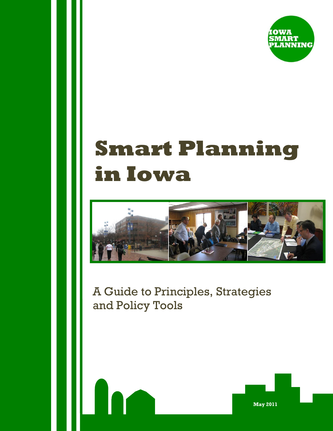

# **Smart Planning in Iowa**



A Guide to Principles, Strategies and Policy Tools

**May 2011**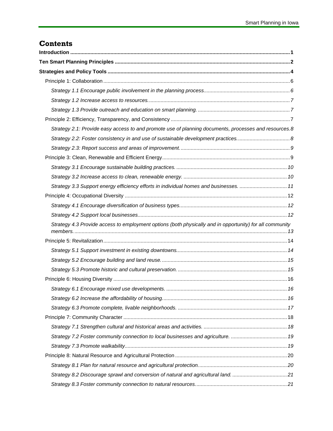# **Contents**

| Strategy 2.1: Provide easy access to and promote use of planning documents, processes and resources.8    |  |
|----------------------------------------------------------------------------------------------------------|--|
|                                                                                                          |  |
|                                                                                                          |  |
|                                                                                                          |  |
|                                                                                                          |  |
|                                                                                                          |  |
| Strategy 3.3 Support energy efficiency efforts in individual homes and businesses.  11                   |  |
|                                                                                                          |  |
|                                                                                                          |  |
|                                                                                                          |  |
| Strategy 4.3 Provide access to employment options (both physically and in opportunity) for all community |  |
|                                                                                                          |  |
|                                                                                                          |  |
|                                                                                                          |  |
|                                                                                                          |  |
|                                                                                                          |  |
|                                                                                                          |  |
|                                                                                                          |  |
|                                                                                                          |  |
|                                                                                                          |  |
|                                                                                                          |  |
|                                                                                                          |  |
|                                                                                                          |  |
|                                                                                                          |  |
|                                                                                                          |  |
|                                                                                                          |  |
|                                                                                                          |  |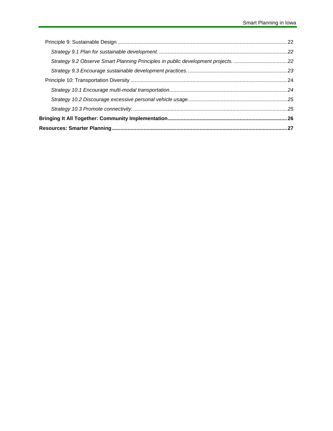| Strategy 9.2 Observe Smart Planning Principles in public development projects. 22 |  |
|-----------------------------------------------------------------------------------|--|
|                                                                                   |  |
|                                                                                   |  |
|                                                                                   |  |
|                                                                                   |  |
|                                                                                   |  |
|                                                                                   |  |
|                                                                                   |  |
|                                                                                   |  |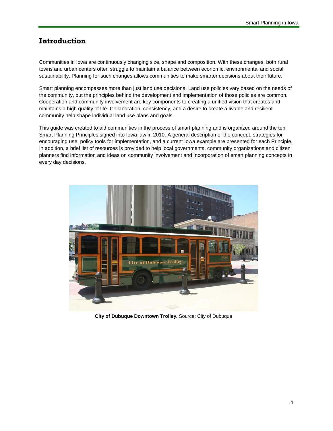# <span id="page-4-0"></span>**Introduction**

Communities in Iowa are continuously changing size, shape and composition. With these changes, both rural towns and urban centers often struggle to maintain a balance between economic, environmental and social sustainability. Planning for such changes allows communities to make smarter decisions about their future.

Smart planning encompasses more than just land use decisions. Land use policies vary based on the needs of the community, but the principles behind the development and implementation of those policies are common. Cooperation and community involvement are key components to creating a unified vision that creates and maintains a high quality of life. Collaboration, consistency, and a desire to create a livable and resilient community help shape individual land use plans and goals.

This guide was created to aid communities in the process of smart planning and is organized around the ten Smart Planning Principles signed into Iowa law in 2010. A general description of the concept, strategies for encouraging use, policy tools for implementation, and a current Iowa example are presented for each Principle. In addition, a brief list of resources is provided to help local governments, community organizations and citizen planners find information and ideas on community involvement and incorporation of smart planning concepts in every day decisions.



**City of Dubuque Downtown Trolley.** Source: City of Dubuque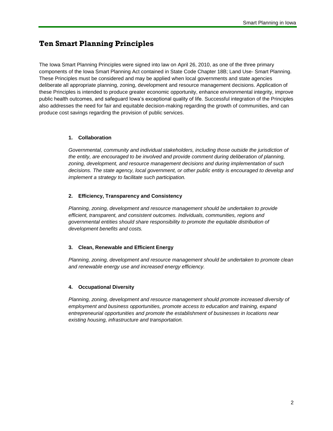# <span id="page-5-0"></span>**Ten Smart Planning Principles**

The Iowa Smart Planning Principles were signed into law on April 26, 2010, as one of the three primary components of the Iowa Smart Planning Act contained in State Code Chapter 18B; Land Use- Smart Planning. These Principles must be considered and may be applied when local governments and state agencies deliberate all appropriate planning, zoning, development and resource management decisions. Application of these Principles is intended to produce greater economic opportunity, enhance environmental integrity, improve public health outcomes, and safeguard Iowa's exceptional quality of life. Successful integration of the Principles also addresses the need for fair and equitable decision-making regarding the growth of communities, and can produce cost savings regarding the provision of public services.

## **1. Collaboration**

*Governmental, community and individual stakeholders, including those outside the jurisdiction of the entity, are encouraged to be involved and provide comment during deliberation of planning, zoning, development, and resource management decisions and during implementation of such decisions. The state agency, local government, or other public entity is encouraged to develop and implement a strategy to facilitate such participation.*

#### **2. Efficiency, Transparency and Consistency**

*Planning, zoning, development and resource management should be undertaken to provide efficient, transparent, and consistent outcomes. Individuals, communities, regions and governmental entities should share responsibility to promote the equitable distribution of development benefits and costs.*

#### **3. Clean, Renewable and Efficient Energy**

*Planning, zoning, development and resource management should be undertaken to promote clean and renewable energy use and increased energy efficiency.*

## **4. Occupational Diversity**

Planning, zoning, development and resource management should promote increased diversity of *employment and business opportunities, promote access to education and training, expand entrepreneurial opportunities and promote the establishment of businesses in locations near existing housing, infrastructure and transportation.*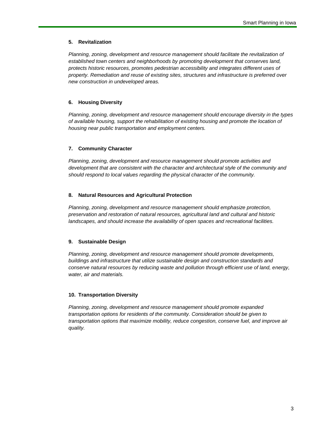#### **5. Revitalization**

*Planning, zoning, development and resource management should facilitate the revitalization of established town centers and neighborhoods by promoting development that conserves land, protects historic resources, promotes pedestrian accessibility and integrates different uses of property. Remediation and reuse of existing sites, structures and infrastructure is preferred over new construction in undeveloped areas.*

## **6. Housing Diversity**

*Planning, zoning, development and resource management should encourage diversity in the types of available housing, support the rehabilitation of existing housing and promote the location of housing near public transportation and employment centers.*

## **7. Community Character**

*Planning, zoning, development and resource management should promote activities and development that are consistent with the character and architectural style of the community and should respond to local values regarding the physical character of the community.*

## **8. Natural Resources and Agricultural Protection**

*Planning, zoning, development and resource management should emphasize protection, preservation and restoration of natural resources, agricultural land and cultural and historic landscapes, and should increase the availability of open spaces and recreational facilities.*

## **9. Sustainable Design**

*Planning, zoning, development and resource management should promote developments, buildings and infrastructure that utilize sustainable design and construction standards and conserve natural resources by reducing waste and pollution through efficient use of land, energy, water, air and materials.*

## **10. Transportation Diversity**

*Planning, zoning, development and resource management should promote expanded transportation options for residents of the community. Consideration should be given to transportation options that maximize mobility, reduce congestion, conserve fuel, and improve air quality.*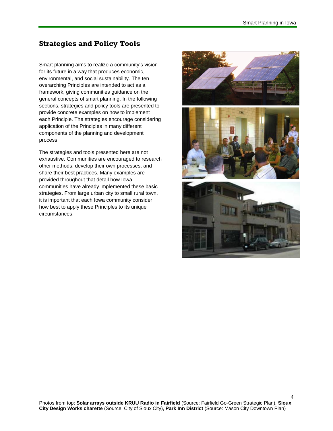4

# <span id="page-7-0"></span>**Strategies and Policy Tools**

Smart planning aims to realize a community's vision for its future in a way that produces economic, environmental, and social sustainability. The ten overarching Principles are intended to act as a framework, giving communities guidance on the general concepts of smart planning. In the following sections, strategies and policy tools are presented to provide concrete examples on how to implement each Principle. The strategies encourage considering application of the Principles in many different components of the planning and development process.

The strategies and tools presented here are not exhaustive. Communities are encouraged to research other methods, develop their own processes, and share their best practices. Many examples are provided throughout that detail how Iowa communities have already implemented these basic strategies. From large urban city to small rural town, it is important that each Iowa community consider how best to apply these Principles to its unique circumstances.

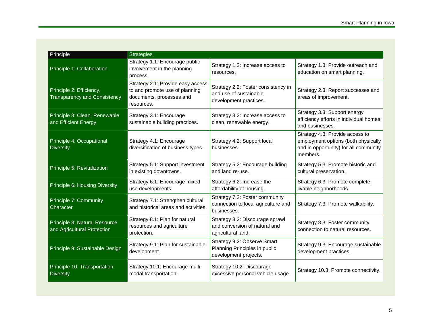| Principle                                                       | <b>Strategies</b>                                                                                             |                                                                                         |                                                                                                                             |
|-----------------------------------------------------------------|---------------------------------------------------------------------------------------------------------------|-----------------------------------------------------------------------------------------|-----------------------------------------------------------------------------------------------------------------------------|
| Principle 1: Collaboration                                      | Strategy 1.1: Encourage public<br>involvement in the planning<br>process.                                     | Strategy 1.2: Increase access to<br>resources.                                          | Strategy 1.3: Provide outreach and<br>education on smart planning.                                                          |
| Principle 2: Efficiency,<br><b>Transparency and Consistency</b> | Strategy 2.1: Provide easy access<br>to and promote use of planning<br>documents, processes and<br>resources. | Strategy 2.2: Foster consistency in<br>and use of sustainable<br>development practices. | Strategy 2.3: Report successes and<br>areas of improvement.                                                                 |
| Principle 3: Clean, Renewable<br>and Efficient Energy           | Strategy 3.1: Encourage<br>sustainable building practices.                                                    | Strategy 3.2: Increase access to<br>clean, renewable energy.                            | Strategy 3.3: Support energy<br>efficiency efforts in individual homes<br>and businesses.                                   |
| Principle 4: Occupational<br><b>Diversity</b>                   | Strategy 4.1: Encourage<br>diversification of business types.                                                 | Strategy 4.2: Support local<br>businesses.                                              | Strategy 4.3: Provide access to<br>employment options (both physically<br>and in opportunity) for all community<br>members. |
| Principle 5: Revitalization                                     | Strategy 5.1: Support investment<br>in existing downtowns.                                                    | Strategy 5.2: Encourage building<br>and land re-use.                                    | Strategy 5.3: Promote historic and<br>cultural preservation.                                                                |
| Principle 6: Housing Diversity                                  | Strategy 6.1: Encourage mixed<br>use developments.                                                            | Strategy 6.2: Increase the<br>affordability of housing.                                 | Strategy 6.3: Promote complete,<br>livable neighborhoods.                                                                   |
| Principle 7: Community<br>Character                             | Strategy 7.1: Strengthen cultural<br>and historical areas and activities.                                     | Strategy 7.2: Foster community<br>connection to local agriculture and<br>businesses.    | Strategy 7.3: Promote walkability.                                                                                          |
| Principle 8: Natural Resource<br>and Agricultural Protection    | Strategy 8.1: Plan for natural<br>resources and agriculture<br>protection.                                    | Strategy 8.2: Discourage sprawl<br>and conversion of natural and<br>agricultural land.  | Strategy 8.3: Foster community<br>connection to natural resources.                                                          |
| Principle 9: Sustainable Design                                 | Strategy 9.1: Plan for sustainable<br>development.                                                            | Strategy 9.2: Observe Smart<br>Planning Principles in public<br>development projects.   | Strategy 9.3: Encourage sustainable<br>development practices.                                                               |
| Principle 10: Transportation<br><b>Diversity</b>                | Strategy 10.1: Encourage multi-<br>modal transportation.                                                      | Strategy 10.2: Discourage<br>excessive personal vehicle usage.                          | Strategy 10.3: Promote connectivity.                                                                                        |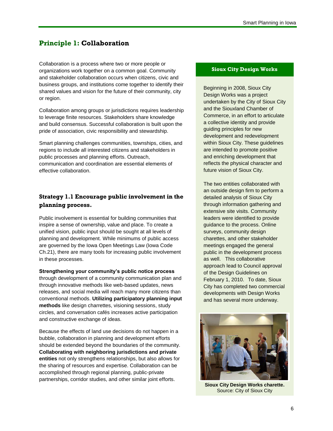# <span id="page-10-0"></span>**Principle 1: Collaboration**

Collaboration is a process where two or more people or organizations work together on a common goal. Community and stakeholder collaboration occurs when citizens, civic and business groups, and institutions come together to identify their shared values and vision for the future of their community, city or region.

Collaboration among groups or jurisdictions requires leadership to leverage finite resources. Stakeholders share knowledge and build consensus. Successful collaboration is built upon the pride of association, civic responsibility and stewardship.

Smart planning challenges communities, townships, cities, and regions to include all interested citizens and stakeholders in public processes and planning efforts. Outreach, communication and coordination are essential elements of effective collaboration.

# <span id="page-10-1"></span>**Strategy 1.1 Encourage public involvement in the planning process.**

Public involvement is essential for building communities that inspire a sense of ownership, value and place. To create a unified vision, public input should be sought at all levels of planning and development. While minimums of public access are governed by the Iowa Open Meetings Law (Iowa Code Ch.21), there are many tools for increasing public involvement in these processes.

**Strengthening your community's public notice process** through development of a community communication plan and through innovative methods like web-based updates, news releases, and social media will reach many more citizens than conventional methods. **Utilizing participatory planning input methods** like design charrettes, visioning sessions, study circles, and conversation cafés increases active participation and constructive exchange of ideas.

Because the effects of land use decisions do not happen in a bubble, collaboration in planning and development efforts should be extended beyond the boundaries of the community. **Collaborating with neighboring jurisdictions and private entities** not only strengthens relationships, but also allows for the sharing of resources and expertise. Collaboration can be accomplished through regional planning, public-private partnerships, corridor studies, and other similar joint efforts.

#### **Sioux City Design Works**

Beginning in 2008, Sioux City Design Works was a project undertaken by the City of Sioux City and the Siouxland Chamber of Commerce, in an effort to articulate a collective identity and provide guiding principles for new development and redevelopment within Sioux City. These guidelines are intended to promote positive and enriching development that reflects the physical character and future vision of Sioux City.

The two entities collaborated with an outside design firm to perform a detailed analysis of Sioux City through information gathering and extensive site visits. Community leaders were identified to provide guidance to the process. Online surveys, community design charettes, and other stakeholder meetings engaged the general public in the development process as well. This collaborative approach lead to Council approval of the Design Guidelines on February 1, 2010. To date, Sioux City has completed two commercial developments with Design Works and has several more underway.



**Sioux City Design Works charette.**  Source: City of Sioux City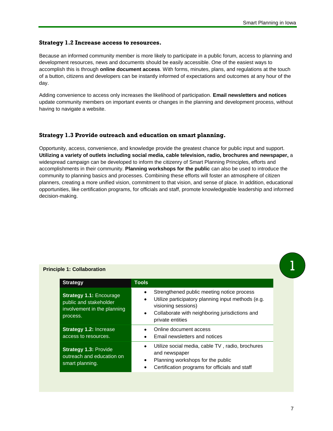## <span id="page-11-0"></span>**Strategy 1.2 Increase access to resources.**

Because an informed community member is more likely to participate in a public forum, access to planning and development resources, news and documents should be easily accessible. One of the easiest ways to accomplish this is through **online document access**. With forms, minutes, plans, and regulations at the touch of a button, citizens and developers can be instantly informed of expectations and outcomes at any hour of the day.

Adding convenience to access only increases the likelihood of participation. **Email newsletters and notices** update community members on important events or changes in the planning and development process, without having to navigate a website.

## <span id="page-11-1"></span>**Strategy 1.3 Provide outreach and education on smart planning.**

Opportunity, access, convenience, and knowledge provide the greatest chance for public input and support. **Utilizing a variety of outlets including social media, cable television, radio, brochures and newspaper,** a widespread campaign can be developed to inform the citizenry of Smart Planning Principles, efforts and accomplishments in their community. **Planning workshops for the public** can also be used to introduce the community to planning basics and processes. Combining these efforts will foster an atmosphere of citizen planners, creating a more unified vision, commitment to that vision, and sense of place. In addition, educational opportunities, like certification programs, for officials and staff, promote knowledgeable leadership and informed decision-making.

<span id="page-11-2"></span>

|  | <b>Principle 1: Collaboration</b> |
|--|-----------------------------------|
|  |                                   |

| <b>Strategy</b>                                                                                     | <b>Tools</b>                                                                                                                                                                                  |
|-----------------------------------------------------------------------------------------------------|-----------------------------------------------------------------------------------------------------------------------------------------------------------------------------------------------|
| <b>Strategy 1.1: Encourage</b><br>public and stakeholder<br>involvement in the planning<br>process. | Strengthened public meeting notice process<br>Utilize participatory planning input methods (e.g.<br>visioning sessions)<br>Collaborate with neighboring jurisdictions and<br>private entities |
| <b>Strategy 1.2: Increase</b><br>access to resources.                                               | Online document access<br>Email newsletters and notices                                                                                                                                       |
| <b>Strategy 1.3: Provide</b><br>outreach and education on<br>smart planning.                        | Utilize social media, cable TV, radio, brochures<br>and newspaper<br>Planning workshops for the public<br>Certification programs for officials and staff                                      |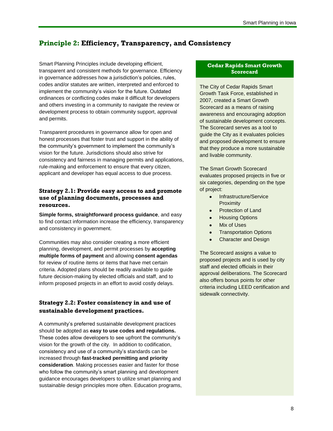# **Principle 2: Efficiency, Transparency, and Consistency**

Smart Planning Principles include developing efficient, transparent and consistent methods for governance. Efficiency in governance addresses how a jurisdiction's policies, rules, codes and/or statutes are written, interpreted and enforced to implement the community's vision for the future. Outdated ordinances or conflicting codes make it difficult for developers and others investing in a community to navigate the review or development process to obtain community support, approval and permits.

Transparent procedures in governance allow for open and honest processes that foster trust and support in the ability of the community's government to implement the community's vision for the future. Jurisdictions should also strive for consistency and fairness in managing permits and applications, rule-making and enforcement to ensure that every citizen, applicant and developer has equal access to due process.

## <span id="page-12-0"></span>**Strategy 2.1: Provide easy access to and promote use of planning documents, processes and resources.**

**Simple forms, straightforward process guidance**, and easy to find contact information increase the efficiency, transparency and consistency in government.

Communities may also consider creating a more efficient planning, development, and permit processes by **accepting multiple forms of payment** and allowing **consent agendas** for review of routine items or items that have met certain criteria. Adopted plans should be readily available to guide future decision-making by elected officials and staff, and to inform proposed projects in an effort to avoid costly delays.

# <span id="page-12-1"></span>**Strategy 2.2: Foster consistency in and use of sustainable development practices.**

A community's preferred sustainable development practices should be adopted as **easy to use codes and regulations.** These codes allow developers to see upfront the community's vision for the growth of the city. In addition to codification, consistency and use of a community's standards can be increased through **fast-tracked permitting and priority consideration**. Making processes easier and faster for those who follow the community's smart planning and development guidance encourages developers to utilize smart planning and sustainable design principles more often. Education programs,

## **Cedar Rapids Smart Growth Scorecard**

The City of Cedar Rapids Smart Growth Task Force, established in 2007, created a Smart Growth Scorecard as a means of raising awareness and encouraging adoption of sustainable development concepts. The Scorecard serves as a tool to guide the City as it evaluates policies and proposed development to ensure that they produce a more sustainable and livable community.

The Smart Growth Scorecard evaluates proposed projects in five or six categories, depending on the type of project:

- Infrastructure/Service  $\bullet$ **Proximity**
- Protection of Land  $\bullet$
- Housing Options
- Mix of Uses  $\bullet$
- Transportation Options  $\bullet$
- Character and Design  $\bullet$

The Scorecard assigns a value to proposed projects and is used by city staff and elected officials in their approval deliberations. The Scorecard also offers bonus points for other criteria including LEED certification and sidewalk connectivity.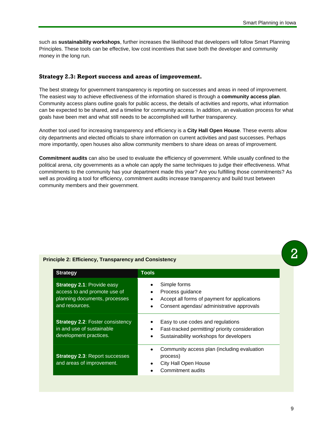such as **sustainability workshops**, further increases the likelihood that developers will follow Smart Planning Principles. These tools can be effective, low cost incentives that save both the developer and community money in the long run.

#### <span id="page-13-0"></span>**Strategy 2.3: Report success and areas of improvement.**

The best strategy for government transparency is reporting on successes and areas in need of improvement. The easiest way to achieve effectiveness of the information shared is through a **community access plan**. Community access plans outline goals for public access, the details of activities and reports, what information can be expected to be shared, and a timeline for community access. In addition, an evaluation process for what goals have been met and what still needs to be accomplished will further transparency.

Another tool used for increasing transparency and efficiency is a **City Hall Open House**. These events allow city departments and elected officials to share information on current activities and past successes. Perhaps more importantly, open houses also allow community members to share ideas on areas of improvement.

**Commitment audits** can also be used to evaluate the efficiency of government. While usually confined to the political arena, city governments as a whole can apply the same techniques to judge their effectiveness. What commitments to the community has your department made this year? Are you fulfilling those commitments? As well as providing a tool for efficiency, commitment audits increase transparency and build trust between community members and their government.

| <b>Strategy</b>                                                                                                      | <b>Tools</b>                                                                                                                                           |
|----------------------------------------------------------------------------------------------------------------------|--------------------------------------------------------------------------------------------------------------------------------------------------------|
| <b>Strategy 2.1: Provide easy</b><br>access to and promote use of<br>planning documents, processes<br>and resources. | Simple forms<br>Process guidance<br>٠<br>Accept all forms of payment for applications<br>$\bullet$<br>Consent agendas/ administrative approvals<br>٠   |
| <b>Strategy 2.2: Foster consistency</b><br>in and use of sustainable<br>development practices.                       | Easy to use codes and regulations<br>٠<br>Fast-tracked permitting/ priority consideration<br>٠<br>Sustainability workshops for developers<br>$\bullet$ |
| <b>Strategy 2.3: Report successes</b><br>and areas of improvement.                                                   | Community access plan (including evaluation<br>٠<br>process)<br>City Hall Open House<br>٠<br>Commitment audits                                         |

#### <span id="page-13-1"></span>**Principle 2: Efficiency, Transparency and Consistency**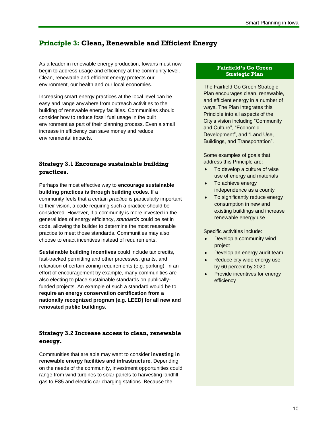# **Principle 3: Clean, Renewable and Efficient Energy**

As a leader in renewable energy production, Iowans must now begin to address usage and efficiency at the community level. Clean, renewable and efficient energy protects our environment, our health and our local economies.

Increasing smart energy practices at the local level can be easy and range anywhere from outreach activities to the building of renewable energy facilities. Communities should consider how to reduce fossil fuel usage in the built environment as part of their planning process. Even a small increase in efficiency can save money and reduce environmental impacts.

# <span id="page-14-0"></span>**Strategy 3.1 Encourage sustainable building practices.**

Perhaps the most effective way to **encourage sustainable building practices is through building codes**. If a community feels that a certain *practice* is particularly important to their vision, a code requiring such a practice should be considered. However, if a community is more invested in the general idea of energy efficiency, *standards* could be set in code, allowing the builder to determine the most reasonable practice to meet those standards. Communities may also choose to enact incentives instead of requirements.

**Sustainable building incentives** could include tax credits, fast-tracked permitting and other processes, grants, and relaxation of certain zoning requirements (e.g. parking). In an effort of encouragement by example, many communities are also electing to place sustainable standards on publicallyfunded projects. An example of such a standard would be to **require an energy conservation certification from a nationally recognized program (e.g. LEED) for all new and renovated public buildings**.

# <span id="page-14-1"></span>**Strategy 3.2 Increase access to clean, renewable energy.**

Communities that are able may want to consider **investing in renewable energy facilities and infrastructure**. Depending on the needs of the community, investment opportunities could range from wind turbines to solar panels to harvesting landfill gas to E85 and electric car charging stations. Because the

## **Fairfield's Go Green Strategic Plan**

The Fairfield Go Green Strategic Plan encourages clean, renewable, and efficient energy in a number of ways. The Plan integrates this Principle into all aspects of the City's vision including "Community and Culture", "Economic Development", and "Land Use, Buildings, and Transportation".

Some examples of goals that address this Principle are:

- $\bullet$ To develop a culture of wise use of energy and materials
- To achieve energy independence as a county
- To significantly reduce energy consumption in new and existing buildings and increase renewable energy use

Specific activities include:

- Develop a community wind project
- Develop an energy audit team
- Reduce city wide energy use by 60 percent by 2020
- Provide incentives for energy efficiency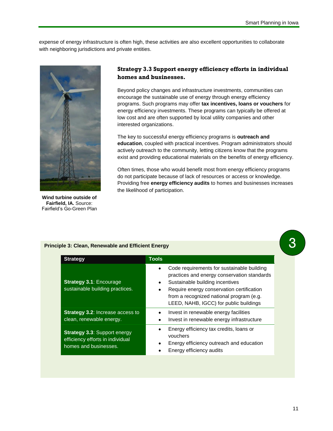expense of energy infrastructure is often high, these activities are also excellent opportunities to collaborate with neighboring jurisdictions and private entities.



**Wind turbine outside of Fairfield, IA.** Source: Fairfield's Go-Green Plan

## <span id="page-15-0"></span>**Strategy 3.3 Support energy efficiency efforts in individual homes and businesses.**

Beyond policy changes and infrastructure investments, communities can encourage the sustainable use of energy through energy efficiency programs. Such programs may offer **tax incentives, loans or vouchers** for energy efficiency investments. These programs can typically be offered at low cost and are often supported by local utility companies and other interested organizations.

The key to successful energy efficiency programs is **outreach and education**, coupled with practical incentives. Program administrators should actively outreach to the community, letting citizens know that the programs exist and providing educational materials on the benefits of energy efficiency.

Often times, those who would benefit most from energy efficiency programs do not participate because of lack of resources or access or knowledge. Providing free **energy efficiency audits** to homes and businesses increases the likelihood of participation.

| <b>Strategy</b>                                                                                  | <b>Tools</b>           |                                                                                                                                                                                                                                                                 |
|--------------------------------------------------------------------------------------------------|------------------------|-----------------------------------------------------------------------------------------------------------------------------------------------------------------------------------------------------------------------------------------------------------------|
| <b>Strategy 3.1: Encourage</b><br>sustainable building practices.                                | $\bullet$<br>٠         | Code requirements for sustainable building<br>practices and energy conservation standards<br>Sustainable building incentives<br>Require energy conservation certification<br>from a recognized national program (e.g.<br>LEED, NAHB, IGCC) for public buildings |
| <b>Strategy 3.2: Increase access to</b><br>clean, renewable energy.                              | $\bullet$<br>٠         | Invest in renewable energy facilities<br>Invest in renewable energy infrastructure                                                                                                                                                                              |
| <b>Strategy 3.3: Support energy</b><br>efficiency efforts in individual<br>homes and businesses. | $\bullet$<br>$\bullet$ | Energy efficiency tax credits, loans or<br>vouchers<br>Energy efficiency outreach and education<br>Energy efficiency audits                                                                                                                                     |

#### **Principle 3: Clean, Renewable and Efficient Energy**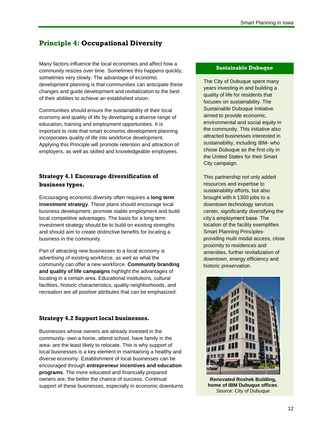# <span id="page-16-0"></span>**Principle 4: Occupational Diversity**

Many factors influence the local economies and affect how a community resizes over time. Sometimes this happens quickly, sometimes very slowly. The advantage of economic development planning is that communities can anticipate these changes and guide development and revitalization to the best of their abilities to achieve an established vision.

Communities should ensure the sustainability of their local economy and quality of life by developing a diverse range of education, training and employment opportunities. It is important to note that smart economic development planning incorporates quality of life into workforce development. Applying this Principle will promote retention and attraction of employers, as well as skilled and knowledgeable employees.

# <span id="page-16-1"></span>**Strategy 4.1 Encourage diversification of business types.**

Encouraging economic diversity often requires a **long term investment strategy**. These plans should encourage local business development, promote stable employment and build local competitive advantages. The basis for a long term investment strategy should be to build on existing strengths and should aim to create distinctive benefits for locating a business in the community.

Part of attracting new businesses to a local economy is advertising of existing workforce, as well as what the community can offer a new workforce. **Community branding and quality of life campaigns** highlight the advantages of locating in a certain area. Educational institutions, cultural facilities, historic characteristics, quality neighborhoods, and recreation are all positive attributes that can be emphasized.

# <span id="page-16-2"></span>**Strategy 4.2 Support local businesses.**

Businesses whose owners are already invested in the community- own a home, attend school, have family in the area- are the least likely to relocate. This is why support of local businesses is a key element in maintaining a healthy and diverse economy. Establishment of local businesses can be encouraged through **entrepreneur incentives and education programs**. The more educated and financially prepared owners are, the better the chance of success. Continual support of these businesses, especially in economic downturns

#### **Sustainable Dubuque**

The City of Dubuque spent many years investing in and building a quality of life for residents that focuses on sustainability. The Sustainable Dubuque Initiative aimed to provide economic, environmental and social equity in the community. This initiative also attracted businesses interested in sustainability, including IBM- who chose Dubuque as the first city in the United States for their Smart City campaign.

This partnership not only added resources and expertise to sustainability efforts, but also brought with it 1300 jobs to a downtown technology services center, significantly diversifying the city's employment base. The location of the facility exemplifies Smart Planning Principlesproviding multi modal access, close proximity to residences and amenities, further revitalization of downtown, energy efficiency and historic preservation.



**Renovated Roshek Building, home of IBM Dubuque offices**. Source: City of Dubuque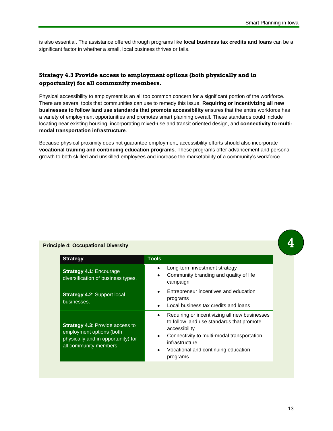is also essential. The assistance offered through programs like **local business tax credits and loans** can be a significant factor in whether a small, local business thrives or fails.

# <span id="page-17-0"></span>**Strategy 4.3 Provide access to employment options (both physically and in opportunity) for all community members.**

Physical accessibility to employment is an all too common concern for a significant portion of the workforce. There are several tools that communities can use to remedy this issue. **Requiring or incentivizing all new businesses to follow land use standards that promote accessibility** ensures that the entire workforce has a variety of employment opportunities and promotes smart planning overall. These standards could include locating near existing housing, incorporating mixed-use and transit oriented design, and **connectivity to multimodal transportation infrastructure**.

Because physical proximity does not guarantee employment, accessibility efforts should also incorporate **vocational training and continuing education programs**. These programs offer advancement and personal growth to both skilled and unskilled employees and increase the marketability of a community's workforce.

## **Principle 4: Occupational Diversity**

| <b>Strategy</b>                                                                                                                    | <b>Tools</b>                                                                                                                                                                                                                                             |
|------------------------------------------------------------------------------------------------------------------------------------|----------------------------------------------------------------------------------------------------------------------------------------------------------------------------------------------------------------------------------------------------------|
| <b>Strategy 4.1: Encourage</b><br>diversification of business types.                                                               | Long-term investment strategy<br>Community branding and quality of life<br>٠<br>campaign                                                                                                                                                                 |
| <b>Strategy 4.2: Support local</b><br>businesses.                                                                                  | Entrepreneur incentives and education<br>programs<br>Local business tax credits and loans                                                                                                                                                                |
| <b>Strategy 4.3: Provide access to</b><br>employment options (both<br>physically and in opportunity) for<br>all community members. | Requiring or incentivizing all new businesses<br>$\bullet$<br>to follow land use standards that promote<br>accessibility<br>Connectivity to multi-modal transportation<br>infrastructure<br>Vocational and continuing education<br>$\bullet$<br>programs |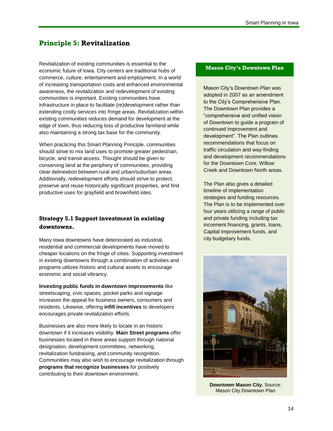# <span id="page-18-0"></span>**Principle 5: Revitalization**

Revitalization of existing communities is essential to the economic future of Iowa. City centers are traditional hubs of commerce, culture, entertainment and employment. In a world of increasing transportation costs and enhanced environmental awareness, the revitalization and redevelopment of existing communities is important. Existing communities have infrastructure in place to facilitate (re)development rather than extending costly services into fringe areas. Revitalization within existing communities reduces demand for development at the edge of town, thus reducing loss of productive farmland while also maintaining a strong tax base for the community.

When practicing this Smart Planning Principle, communities should strive to mix land uses to promote greater pedestrian, bicycle, and transit access. Thought should be given to conserving land at the periphery of communities, providing clear delineation between rural and urban/suburban areas. Additionally, redevelopment efforts should strive to protect, preserve and reuse historically significant properties, and find productive uses for grayfield and brownfield sites.

# <span id="page-18-1"></span>**Strategy 5.1 Support investment in existing downtowns.**

Many Iowa downtowns have deteriorated as industrial, residential and commercial developments have moved to cheaper locations on the fringe of cities. Supporting investment in existing downtowns through a combination of activities and programs utilizes historic and cultural assets to encourage economic and social vibrancy.

**Investing public funds in downtown improvements** like streetscaping, civic spaces, pocket parks and signage increases the appeal for business owners, consumers and residents. Likewise, offering **infill incentives** to developers encourages private revitalization efforts.

Businesses are also more likely to locate in an historic downtown if it increases visibility. **Main Street programs** offer businesses located in these areas support through national designation, development committees, networking, revitalization fundraising, and community recognition. Communities may also wish to encourage revitalization through **programs that recognize businesses** for positively contributing to their downtown environment.

#### **Mason City's Downtown Plan**

Mason City's Downtown Plan was adopted in 2007 as an amendment to the City's Comprehensive Plan. The Downtown Plan provides a "comprehensive and unified vision of Downtown to guide a program of continued improvement and development". The Plan outlines recommendations that focus on traffic circulation and way-finding and development recommendations for the Downtown Core, Willow Creek and Downtown North areas.

The Plan also gives a detailed timeline of implementation strategies and funding resources. The Plan is to be implemented over four years utilizing a range of public and private funding including tax increment financing, grants, loans, Capital Improvement funds, and city budgetary funds.



**Downtown Mason City. Source:** Mason City Downtown Plan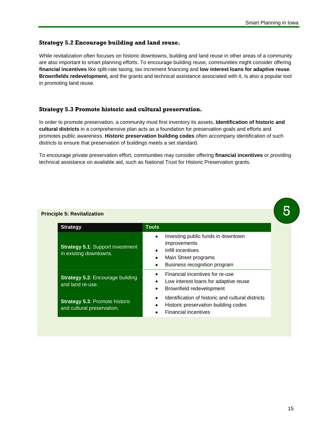## <span id="page-19-0"></span>**Strategy 5.2 Encourage building and land reuse.**

While revitalization often focuses on historic downtowns, building and land reuse in other areas of a community are also important to smart planning efforts. To encourage building reuse, communities might consider offering **financial incentives** like split-rate taxing, tax increment financing and **low interest loans for adaptive reuse**. **Brownfields redevelopment,** and the grants and technical assistance associated with it, is also a popular tool in promoting land reuse.

#### <span id="page-19-1"></span>**Strategy 5.3 Promote historic and cultural preservation.**

In order to promote preservation, a community must first inventory its assets**. Identification of historic and cultural districts** in a comprehensive plan acts as a foundation for preservation goals and efforts and promotes public awareness. **Historic preservation building codes** often accompany identification of such districts to ensure that preservation of buildings meets a set standard.

To encourage private preservation effort, communities may consider offering **financial incentives** or providing technical assistance on available aid, such as National Trust for Historic Preservation grants.

#### **Principle 5: Revitalization**

| <b>Strategy</b>                                                     | <b>Tools</b>                                                                                                                                                        |
|---------------------------------------------------------------------|---------------------------------------------------------------------------------------------------------------------------------------------------------------------|
| <b>Strategy 5.1: Support investment</b><br>in existing downtowns.   | Investing public funds in downtown<br>$\bullet$<br>improvements<br>Infill incentives<br>$\bullet$<br>Main Street programs<br>٠<br>Business recognition program<br>٠ |
| <b>Strategy 5.2: Encourage building</b><br>and land re-use.         | Financial incentives for re-use<br>Low interest loans for adaptive reuse<br>٠<br>Brownfield redevelopment<br>٠                                                      |
| <b>Strategy 5.3: Promote historic</b><br>and cultural preservation. | Identification of historic and cultural districts<br>Historic preservation building codes<br>٠<br><b>Financial incentives</b>                                       |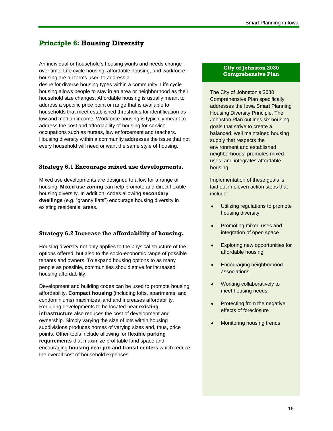# <span id="page-20-0"></span>**Principle 6: Housing Diversity**

An individual or household's housing wants and needs change over time. Life cycle housing, affordable housing, and workforce housing are all terms used to address a desire for diverse housing types within a community. Life cycle housing allows people to stay in an area or neighborhood as their household size changes. Affordable housing is usually meant to address a specific price point or range that is available to households that meet established thresholds for identification as low and median income. Workforce housing is typically meant to address the cost and affordability of housing for service occupations such as nurses, law enforcement and teachers. Housing diversity within a community addresses the issue that not every household will need or want the same style of housing.

## <span id="page-20-1"></span>**Strategy 6.1 Encourage mixed use developments.**

Mixed use developments are designed to allow for a range of housing. **Mixed use zoning** can help promote and direct flexible housing diversity. In addition, codes allowing **secondary dwellings** (e.g. "granny flats") encourage housing diversity in existing residential areas.

## <span id="page-20-2"></span>**Strategy 6.2 Increase the affordability of housing.**

Housing diversity not only applies to the physical structure of the options offered, but also to the socio-economic range of possible tenants and owners. To expand housing options to as many people as possible, communities should strive for increased housing affordability.

Development and building codes can be used to promote housing affordability. **Compact housing** (including lofts, apartments, and condominiums) maximizes land and increases affordability. Requiring developments to be located near **existing infrastructure** also reduces the cost of development and ownership. Simply varying the size of lots within housing subdivisions produces homes of varying sizes and, thus, price points. Other tools include allowing for **flexible parking requirements** that maximize profitable land space and encouraging **housing near job and transit centers** which reduce the overall cost of household expenses.

#### **City of Johnston 2030 Comprehensive Plan**

The City of Johnston's 2030 Comprehensive Plan specifically addresses the Iowa Smart Planning Housing Diversity Principle. The Johnston Plan outlines six housing goals that strive to create a balanced, well maintained housing supply that respects the environment and established neighborhoods, promotes mixed uses, and integrates affordable housing.

Implementation of these goals is laid out in eleven action steps that include:

- $\bullet$ Utilizing regulations to promote housing diversity
- $\bullet$ Promoting mixed uses and integration of open space
- Exploring new opportunities for  $\bullet$ affordable housing
- Encouraging neighborhood  $\bullet$ associations
- Working collaboratively to  $\bullet$ meet housing needs
- Protecting from the negative  $\bullet$ effects of foreclosure
- Monitoring housing trends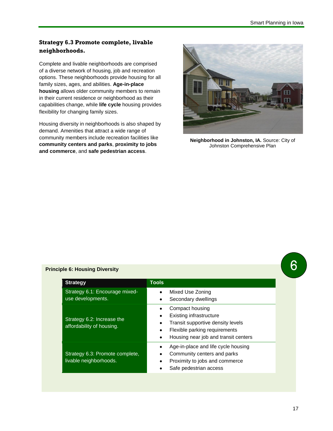# <span id="page-21-0"></span>**Strategy 6.3 Promote complete, livable neighborhoods.**

Complete and livable neighborhoods are comprised of a diverse network of housing, job and recreation options. These neighborhoods provide housing for all family sizes, ages, and abilities. **Age-in-place housing** allows older community members to remain in their current residence or neighborhood as their capabilities change, while **life cycle** housing provides flexibility for changing family sizes.

Housing diversity in neighborhoods is also shaped by demand. Amenities that attract a wide range of community members include recreation facilities like **community centers and parks**, **proximity to jobs and commerce**, and **safe pedestrian access**.



**Neighborhood in Johnston, IA.** Source: City of Johnston Comprehensive Plan

## **Principle 6: Housing Diversity**

| <b>Strategy</b>                                           | <b>Tools</b>                                                                                                                                                         |
|-----------------------------------------------------------|----------------------------------------------------------------------------------------------------------------------------------------------------------------------|
| Strategy 6.1: Encourage mixed-<br>use developments.       | Mixed Use Zoning<br>$\bullet$<br>Secondary dwellings<br>٠                                                                                                            |
| Strategy 6.2: Increase the<br>affordability of housing.   | Compact housing<br><b>Existing infrastructure</b><br>Transit supportive density levels<br>Flexible parking requirements<br>Housing near job and transit centers<br>٠ |
| Strategy 6.3: Promote complete,<br>livable neighborhoods. | Age-in-place and life cycle housing<br>Community centers and parks<br>Proximity to jobs and commerce<br>٠<br>Safe pedestrian access                                  |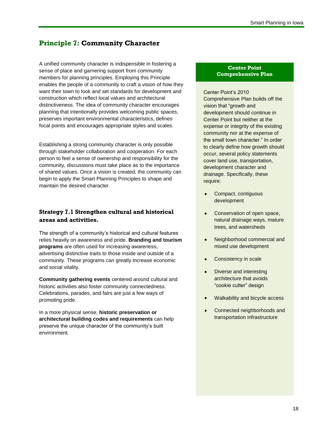# <span id="page-22-0"></span>**Principle 7: Community Character**

A unified community character is indispensible in fostering a sense of place and garnering support from community members for planning principles. Employing this Principle enables the people of a community to craft a vision of how they want their town to look and set standards for development and construction which reflect local values and architectural distinctiveness. The idea of community character encourages planning that intentionally provides welcoming public spaces, preserves important environmental characteristics, defines focal points and encourages appropriate styles and scales.

Establishing a strong community character is only possible through stakeholder collaboration and cooperation. For each person to feel a sense of ownership and responsibility for the community, discussions must take place as to the importance of shared values. Once a vision is created, the community can begin to apply the Smart Planning Principles to shape and maintain the desired character.

# <span id="page-22-1"></span>**Strategy 7.1 Strengthen cultural and historical areas and activities.**

The strength of a community's historical and cultural features relies heavily on awareness and pride. **Branding and tourism programs** are often used for increasing awareness, advertising distinctive traits to those inside and outside of a community. These programs can greatly increase economic and social vitality.

**Community gathering events** centered around cultural and historic activities also foster community connectedness. Celebrations, parades, and fairs are just a few ways of promoting pride.

In a more physical sense, **historic preservation or architectural building codes and requirements** can help preserve the unique character of the community's built environment.

#### **Center Point Comprehensive Plan**

Center Point's 2010 Comprehensive Plan builds off the vision that "growth and development should continue in Center Point but neither at the expense or integrity of the existing community nor at the expense of the small town character." In order to clearly define how growth should occur, several policy statements cover land use, transportation, development character and drainage. Specifically, these require:

- Compact, contiguous development
- Conservation of open space, natural drainage ways, mature trees, and watersheds
- Neighborhood commercial and mixed use development
- Consistency in scale
- Diverse and interesting architecture that avoids "cookie cutter" design
- Walkability and bicycle access
- Connected neighborhoods and transportation infrastructure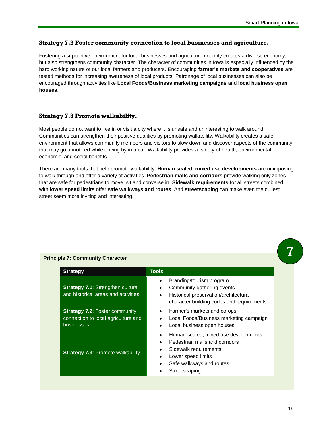## <span id="page-23-0"></span>**Strategy 7.2 Foster community connection to local businesses and agriculture.**

Fostering a supportive environment for local businesses and agriculture not only creates a diverse economy, but also strengthens community character. The character of communities in Iowa is especially influenced by the hard working nature of our local farmers and producers. Encouraging **farmer's markets and cooperatives** are tested methods for increasing awareness of local products. Patronage of local businesses can also be encouraged through activities like **Local Foods/Business marketing campaigns** and **local business open houses**.

#### <span id="page-23-1"></span>**Strategy 7.3 Promote walkability.**

Most people do not want to live in or visit a city where it is unsafe and uninteresting to walk around. Communities can strengthen their positive qualities by promoting walkability. Walkability creates a safe environment that allows community members and visitors to slow down and discover aspects of the community that may go unnoticed while driving by in a car. Walkability provides a variety of health, environmental, economic, and social benefits.

There are many tools that help promote walkability. **Human scaled, mixed use developments** are unimposing to walk through and offer a variety of activities. **Pedestrian malls and corridors** provide walking only zones that are safe for pedestrians to move, sit and converse in. **Sidewalk requirements** for all streets combined with **lower speed limits** offer **safe walkways and routes**. And **streetscaping** can make even the dullest street seem more inviting and interesting.

| <b>Strategy</b>                                                                             | <b>Tools</b>                                                                                                                                                                                      |
|---------------------------------------------------------------------------------------------|---------------------------------------------------------------------------------------------------------------------------------------------------------------------------------------------------|
| <b>Strategy 7.1: Strengthen cultural</b><br>and historical areas and activities.            | Branding/tourism program<br>$\bullet$<br>Community gathering events<br>$\bullet$<br>Historical preservation/architectural<br>character building codes and requirements                            |
| <b>Strategy 7.2: Foster community</b><br>connection to local agriculture and<br>businesses. | Farmer's markets and co-ops<br>$\bullet$<br>Local Foods/Business marketing campaign<br>٠<br>Local business open houses                                                                            |
| <b>Strategy 7.3: Promote walkability.</b>                                                   | Human-scaled, mixed use developments<br>Pedestrian malls and corridors<br>$\bullet$<br>Sidewalk requirements<br>٠<br>Lower speed limits<br>Safe walkways and routes<br>Streetscaping<br>$\bullet$ |

#### **Principle 7: Community Character**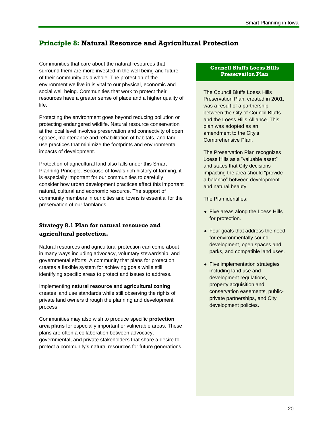# <span id="page-24-0"></span>**Principle 8: Natural Resource and Agricultural Protection**

Communities that care about the natural resources that surround them are more invested in the well being and future of their community as a whole. The protection of the environment we live in is vital to our physical, economic and social well being. Communities that work to protect their resources have a greater sense of place and a higher quality of life.

Protecting the environment goes beyond reducing pollution or protecting endangered wildlife. Natural resource conservation at the local level involves preservation and connectivity of open spaces, maintenance and rehabilitation of habitats, and land use practices that minimize the footprints and environmental impacts of development.

Protection of agricultural land also falls under this Smart Planning Principle. Because of Iowa's rich history of farming, it is especially important for our communities to carefully consider how urban development practices affect this important natural, cultural and economic resource. The support of community members in our cities and towns is essential for the preservation of our farmlands.

# <span id="page-24-1"></span>**Strategy 8.1 Plan for natural resource and agricultural protection.**

Natural resources and agricultural protection can come about in many ways including advocacy, voluntary stewardship, and governmental efforts. A community that plans for protection creates a flexible system for achieving goals while still identifying specific areas to protect and issues to address.

Implementing **natural resource and agricultural zoning** creates land use standards while still observing the rights of private land owners through the planning and development process.

Communities may also wish to produce specific **protection area plans** for especially important or vulnerable areas. These plans are often a collaboration between advocacy, governmental, and private stakeholders that share a desire to protect a community's natural resources for future generations.

#### **Council Bluffs Loess Hills Preservation Plan**

The Council Bluffs Loess Hills Preservation Plan, created in 2001, was a result of a partnership between the City of Council Bluffs and the Loess Hills Alliance. This plan was adopted as an amendment to the City's Comprehensive Plan.

The Preservation Plan recognizes Loess Hills as a "valuable asset" and states that City decisions impacting the area should "provide a balance" between development and natural beauty.

The Plan identifies:

- Five areas along the Loess Hills for protection.
- Four goals that address the need for environmentally sound development, open spaces and parks, and compatible land uses.
- Five implementation strategies including land use and development regulations, property acquisition and conservation easements, publicprivate partnerships, and City development policies.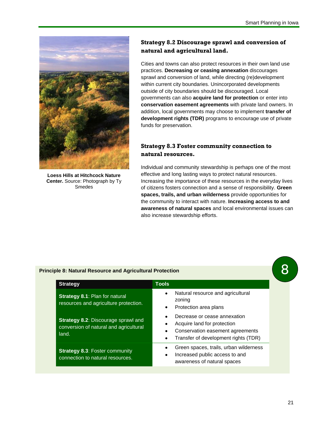

**Loess Hills at Hitchcock Nature Center.** Source: Photograph by Ty Smedes

# <span id="page-25-0"></span>**Strategy 8.2 Discourage sprawl and conversion of natural and agricultural land.**

Cities and towns can also protect resources in their own land use practices. **Decreasing or ceasing annexation** discourages sprawl and conversion of land, while directing (re)development within current city boundaries. Unincorporated developments outside of city boundaries should be discouraged. Local governments can also **acquire land for protection** or enter into **conservation easement agreements** with private land owners. In addition, local governments may choose to implement **transfer of development rights (TDR)** programs to encourage use of private funds for preservation.

# <span id="page-25-1"></span>**Strategy 8.3 Foster community connection to natural resources.**

Individual and community stewardship is perhaps one of the most effective and long lasting ways to protect natural resources. Increasing the importance of these resources in the everyday lives of citizens fosters connection and a sense of responsibility. **Green spaces, trails, and urban wilderness** provide opportunities for the community to interact with nature. **Increasing access to and awareness of natural spaces** and local environmental issues can also increase stewardship efforts.

#### **Principle 8: Natural Resource and Agricultural Protection**

| <b>Strategy</b>                                                                               | <b>Tools</b>                                                                                                                                                      |
|-----------------------------------------------------------------------------------------------|-------------------------------------------------------------------------------------------------------------------------------------------------------------------|
| Strategy 8.1: Plan for natural<br>resources and agriculture protection.                       | Natural resource and agricultural<br>$\bullet$<br>zoning<br>Protection area plans<br>$\bullet$                                                                    |
| <b>Strategy 8.2: Discourage sprawl and</b><br>conversion of natural and agricultural<br>land. | Decrease or cease annexation<br>Acquire land for protection<br>Conservation easement agreements<br>$\bullet$<br>Transfer of development rights (TDR)<br>$\bullet$ |
| <b>Strategy 8.3: Foster community</b><br>connection to natural resources.                     | Green spaces, trails, urban wilderness<br>Increased public access to and<br>$\bullet$<br>awareness of natural spaces                                              |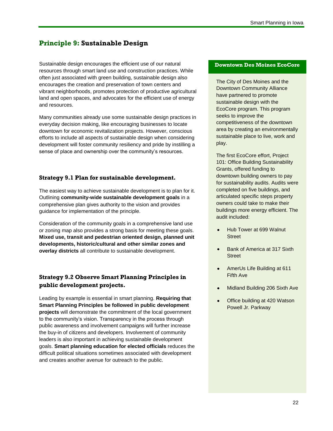# <span id="page-26-0"></span>**Principle 9: Sustainable Design**

Sustainable design encourages the efficient use of our natural resources through smart land use and construction practices. While often just associated with green building, sustainable design also encourages the creation and preservation of town centers and vibrant neighborhoods, promotes protection of productive agricultural land and open spaces, and advocates for the efficient use of energy and resources.

Many communities already use some sustainable design practices in everyday decision making, like encouraging businesses to locate downtown for economic revitalization projects. However, conscious efforts to include all aspects of sustainable design when considering development will foster community resiliency and pride by instilling a sense of place and ownership over the community's resources.

## <span id="page-26-1"></span>**Strategy 9.1 Plan for sustainable development.**

The easiest way to achieve sustainable development is to plan for it. Outlining **community-wide sustainable development goals** in a comprehensive plan gives authority to the vision and provides guidance for implementation of the principle.

Consideration of the community goals in a comprehensive land use or zoning map also provides a strong basis for meeting these goals. **Mixed use, transit and pedestrian oriented design, planned unit developments, historic/cultural and other similar zones and overlay districts** all contribute to sustainable development.

# <span id="page-26-2"></span>**Strategy 9.2 Observe Smart Planning Principles in public development projects.**

<span id="page-26-3"></span>Leading by example is essential in smart planning. **Requiring that Smart Planning Principles be followed in public development projects** will demonstrate the commitment of the local government to the community's vision. Transparency in the process through public awareness and involvement campaigns will further increase the buy-in of citizens and developers. Involvement of community leaders is also important in achieving sustainable development goals. **Smart planning education for elected officials** reduces the difficult political situations sometimes associated with development and creates another avenue for outreach to the public.

#### **Downtown Des Moines EcoCore**

The City of Des Moines and the Downtown Community Alliance have partnered to promote sustainable design with the EcoCore program. This program seeks to improve the competitiveness of the downtown area by creating an environmentally sustainable place to live, work and play.

The first EcoCore effort, Project 101: Office Building Sustainability Grants, offered funding to downtown building owners to pay for sustainability audits. Audits were completed on five buildings, and articulated specific steps property owners could take to make their buildings more energy efficient. The audit included:

- Hub Tower at 699 Walnut **Street**
- Bank of America at 317 Sixth **Street**
- AmerUs Life Building at 611 Fifth Ave
- Midland Building 206 Sixth Ave
- Office building at 420 Watson Powell Jr. Parkway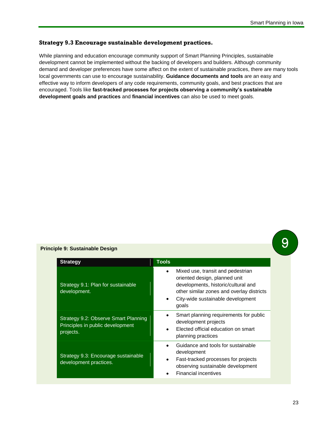## **Strategy 9.3 Encourage sustainable development practices.**

While planning and education encourage community support of Smart Planning Principles, sustainable development cannot be implemented without the backing of developers and builders. Although community demand and developer preferences have some affect on the extent of sustainable practices, there are many tools local governments can use to encourage sustainability. **Guidance documents and tools** are an easy and effective way to inform developers of any code requirements, community goals, and best practices that are encouraged. Tools like **fast-tracked processes for projects observing a community's sustainable development goals and practices** and **financial incentives** can also be used to meet goals.

#### **Principle 9: Sustainable Design**

| <b>Strategy</b>                                                                       | <b>Tools</b>                                                                                                                                                                                                           |
|---------------------------------------------------------------------------------------|------------------------------------------------------------------------------------------------------------------------------------------------------------------------------------------------------------------------|
| Strategy 9.1: Plan for sustainable<br>development.                                    | Mixed use, transit and pedestrian<br>$\bullet$<br>oriented design, planned unit<br>developments, historic/cultural and<br>other similar zones and overlay districts<br>City-wide sustainable development<br>٠<br>goals |
| Strategy 9.2: Observe Smart Planning<br>Principles in public development<br>projects. | Smart planning requirements for public<br>٠<br>development projects<br>Elected official education on smart<br>planning practices                                                                                       |
| Strategy 9.3: Encourage sustainable<br>development practices.                         | Guidance and tools for sustainable<br>٠<br>development<br>Fast-tracked processes for projects<br>٠<br>observing sustainable development<br><b>Financial incentives</b>                                                 |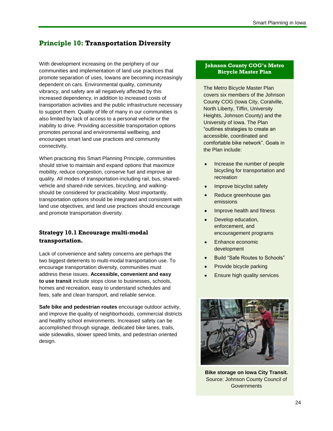# <span id="page-28-0"></span>**Principle 10: Transportation Diversity**

With development increasing on the periphery of our communities and implementation of land use practices that promote separation of uses, Iowans are becoming increasingly dependent on cars. Environmental quality, community vibrancy, and safety are all negatively affected by this increased dependency, in addition to increased costs of transportation activities and the public infrastructure necessary to support them. Quality of life of many in our communities is also limited by lack of access to a personal vehicle or the inability to drive. Providing accessible transportation options promotes personal and environmental wellbeing, and encourages smart land use practices and community connectivity.

When practicing this Smart Planning Principle, communities should strive to maintain and expand options that maximize mobility, reduce congestion, conserve fuel and improve air quality. All modes of transportation-including rail, bus, sharedvehicle and shared-ride services, bicycling, and walkingshould be considered for practicability. Most importantly, transportation options should be integrated and consistent with land use objectives, and land use practices should encourage and promote transportation diversity.

# <span id="page-28-1"></span>**Strategy 10.1 Encourage multi-modal transportation.**

Lack of convenience and safety concerns are perhaps the two biggest deterrents to multi-modal transportation use. To encourage transportation diversity, communities must address these issues. **Accessible, convenient and easy to use transit** include stops close to businesses, schools, homes and recreation, easy to understand schedules and fees, safe and clean transport, and reliable service.

**Safe bike and pedestrian routes** encourage outdoor activity, and improve the quality of neighborhoods, commercial districts and healthy school environments. Increased safety can be accomplished through signage, dedicated bike lanes, trails, wide sidewalks, slower speed limits, and pedestrian oriented design.

#### **Johnson County COG's Metro Bicycle Master Plan**

The Metro Bicycle Master Plan covers six members of the Johnson County COG (Iowa City, Coralville, North Liberty, Tiffin, University Heights, Johnson County) and the University of Iowa. The Plan "outlines strategies to create an accessible, coordinated and comfortable bike network". Goals in the Plan include:

- Increase the number of people bicycling for transportation and recreation
- Improve bicyclist safety
- Reduce greenhouse gas emissions
- Improve health and fitness
- Develop education, enforcement, and encouragement programs
- Enhance economic development
- Build "Safe Routes to Schools"
- Provide bicycle parking
- Ensure high quality services



**Bike storage on Iowa City Transit.** Source: Johnson County Council of **Governments**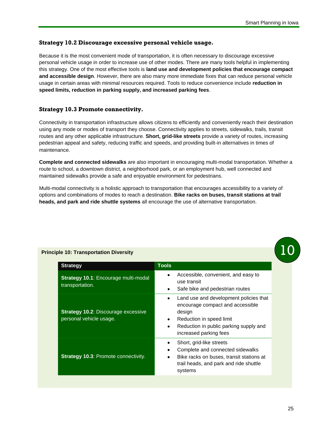## <span id="page-29-0"></span>**Strategy 10.2 Discourage excessive personal vehicle usage.**

Because it is the most convenient mode of transportation, it is often necessary to discourage excessive personal vehicle usage in order to increase use of other modes. There are many tools helpful in implementing this strategy. One of the most effective tools is **land use and development policies that encourage compact and accessible design**. However, there are also many more immediate fixes that can reduce personal vehicle usage in certain areas with minimal resources required. Tools to reduce convenience include **reduction in speed limits, reduction in parking supply, and increased parking fees**.

## <span id="page-29-1"></span>**Strategy 10.3 Promote connectivity.**

Connectivity in transportation infrastructure allows citizens to efficiently and conveniently reach their destination using any mode or modes of transport they choose. Connectivity applies to streets, sidewalks, trails, transit routes and any other applicable infrastructure. **Short, grid-like streets** provide a variety of routes, increasing pedestrian appeal and safety, reducing traffic and speeds, and providing built-in alternatives in times of maintenance.

**Complete and connected sidewalks** are also important in encouraging multi-modal transportation. Whether a route to school, a downtown district, a neighborhood park, or an employment hub, well connected and maintained sidewalks provide a safe and enjoyable environment for pedestrians.

Multi-modal connectivity is a holistic approach to transportation that encourages accessibility to a variety of options and combinations of modes to reach a destination. **Bike racks on buses, transit stations at trail heads, and park and ride shuttle systems** all encourage the use of alternative transportation.

| <b>Strategy</b>                                                       | <b>Tools</b>                                                                                               |
|-----------------------------------------------------------------------|------------------------------------------------------------------------------------------------------------|
| Strategy 10.1: Encourage multi-modal<br>transportation.               | Accessible, convenient, and easy to<br>use transit                                                         |
|                                                                       | Safe bike and pedestrian routes                                                                            |
| <b>Strategy 10.2: Discourage excessive</b><br>personal vehicle usage. | Land use and development policies that<br>encourage compact and accessible<br>design                       |
|                                                                       | Reduction in speed limit                                                                                   |
|                                                                       | Reduction in public parking supply and<br>٠<br>increased parking fees                                      |
| <b>Strategy 10.3: Promote connectivity.</b>                           | Short, grid-like streets<br>Complete and connected sidewalks                                               |
|                                                                       | Bike racks on buses, transit stations at<br>$\bullet$<br>trail heads, and park and ride shuttle<br>systems |

#### **Principle 10: Transportation Diversity**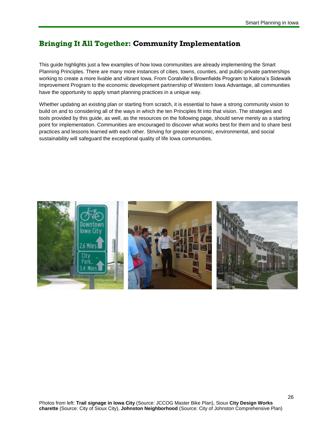# <span id="page-30-0"></span>**Bringing It All Together: Community Implementation**

This guide highlights just a few examples of how Iowa communities are already implementing the Smart Planning Principles. There are many more instances of cities, towns, counties, and public-private partnerships working to create a more livable and vibrant Iowa. From Coralville's Brownfields Program to Kalona's Sidewalk Improvement Program to the economic development partnership of Western Iowa Advantage, all communities have the opportunity to apply smart planning practices in a unique way.

Whether updating an existing plan or starting from scratch, it is essential to have a strong community vision to build on and to considering all of the ways in which the ten Principles fit into that vision. The strategies and tools provided by this guide, as well, as the resources on the following page, should serve merely as a starting point for implementation. Communities are encouraged to discover what works best for them and to share best practices and lessons learned with each other. Striving for greater economic, environmental, and social sustainability will safeguard the exceptional quality of life Iowa communities.

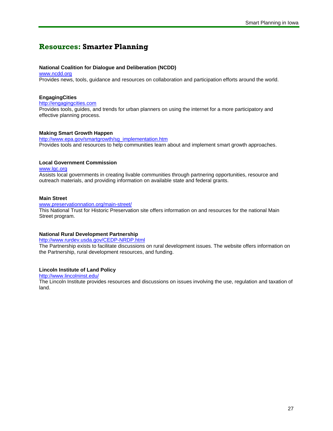# <span id="page-31-0"></span>**Resources: Smarter Planning**

#### **National Coalition for Dialogue and Deliberation (NCDD)**

[www.ncdd.org](http://www.ncdd.org/) Provides news, tools, guidance and resources on collaboration and participation efforts around the world.

#### **EngagingCities**

[http://engagingcities.com](http://engagingcities.com/)

Provides tools, guides, and trends for urban planners on using the internet for a more participatory and effective planning process.

#### **Making Smart Growth Happen**

[http://www.epa.gov/smartgrowth/sg\\_implementation.htm](http://www.epa.gov/smartgrowth/sg_implementation.htm)  Provides tools and resources to help communities learn about and implement smart growth approaches.

#### **Local Government Commission**

[www.lgc.org](http://www.lgc.org/) 

Assists local governments in creating livable communities through partnering opportunities, resource and outreach materials, and providing information on available state and federal grants.

#### **Main Street**

[www.preservationnation.org/main-street/](http://www.preservationnation.org/main-street/) 

This National Trust for Historic Preservation site offers information on and resources for the national Main Street program.

#### **National Rural Development Partnership**

<http://www.rurdev.usda.gov/CEDP-NRDP.html>

The Partnership exists to facilitate discussions on rural development issues. The website offers information on the Partnership, rural development resources, and funding.

#### **Lincoln Institute of Land Policy**

<http://www.lincolninst.edu/>

The Lincoln Institute provides resources and discussions on issues involving the use, regulation and taxation of land.